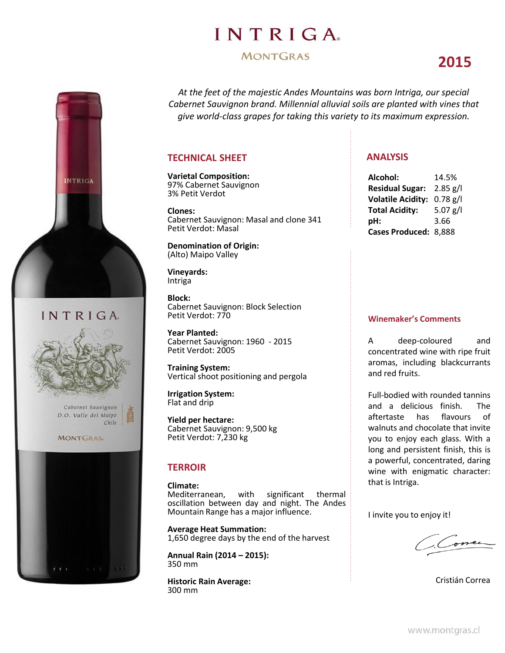## **INTRIGA**

#### **MONTGRAS**

## **2015**



### INTRIGA



Cabernet Sauvignon D.O. Valle del Malpo Chile

#### **MONTGRAS**



*At the feet of the majestic Andes Mountains was born Intriga, our special Cabernet Sauvignon brand. Millennial alluvial soils are planted with vines that give world-class grapes for taking this variety to its maximum expression.*

#### **TECHNICAL SHEET**

**Varietal Composition:** 97% Cabernet Sauvignon 3% Petit Verdot

**Clones:** Cabernet Sauvignon: Masal and clone 341 Petit Verdot: Masal

**Denomination of Origin:** (Alto) Maipo Valley

**Vineyards:** Intriga

**Block:** Cabernet Sauvignon: Block Selection Petit Verdot: 770

**Year Planted:** Cabernet Sauvignon: 1960 - 2015 Petit Verdot: 2005

**Training System:** Vertical shoot positioning and pergola

**Irrigation System:** Flat and drip

**Yield per hectare:** Cabernet Sauvignon: 9,500 kg Petit Verdot: 7,230 kg

#### **TERROIR**

**Climate:** with significant thermal oscillation between day and night. The Andes Mountain Range has a major influence.

**Average Heat Summation:** 1,650 degree days by the end of the harvest

**Annual Rain (2014 – 2015):** 350 mm

**Historic Rain Average:** 300 mm

#### **ANALYSIS**

| Alcohol:                 | 14.5%      |
|--------------------------|------------|
| <b>Residual Sugar:</b>   | $2.85$ g/l |
| <b>Volatile Acidity:</b> | $0.78$ g/l |
| <b>Total Acidity:</b>    | $5.07$ g/l |
| pH:                      | 3.66       |
| Cases Produced: 8,888    |            |

#### **Winemaker's Comments**

A deep-coloured and concentrated wine with ripe fruit aromas, including blackcurrants and red fruits.

Full-bodied with rounded tannins and a delicious finish. The aftertaste has flavours of walnuts and chocolate that invite you to enjoy each glass. With a long and persistent finish, this is a powerful, concentrated, daring wine with enigmatic character: that is Intriga.

I invite you to enjoy it!

Done

Cristián Correa